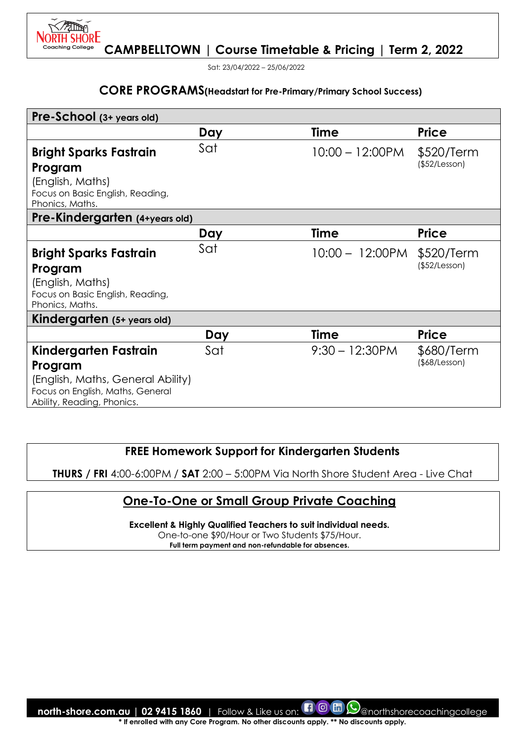

Sat: 23/04/2022 – 25/06/2022

#### **CORE PROGRAMS(Headstart for Pre-Primary/Primary School Success)**

| Pre-School (3+ years old)                                                                           |     |                    |                             |
|-----------------------------------------------------------------------------------------------------|-----|--------------------|-----------------------------|
|                                                                                                     | Day | <b>Time</b>        | <b>Price</b>                |
| <b>Bright Sparks Fastrain</b><br>Program<br>(English, Maths)<br>Focus on Basic English, Reading,    | Sat | $10:00 - 12:00$ PM | \$520/Term<br>(\$52/Lesson) |
| Phonics, Maths.                                                                                     |     |                    |                             |
| Pre-Kindergarten (4+years old)                                                                      |     |                    |                             |
|                                                                                                     | Day | <b>Time</b>        | <b>Price</b>                |
| <b>Bright Sparks Fastrain</b>                                                                       | Sat | $10:00 - 12:00$ PM | \$520/Term                  |
| Program                                                                                             |     |                    | (\$52/Lesson)               |
| (English, Maths)<br>Focus on Basic English, Reading,<br>Phonics, Maths.                             |     |                    |                             |
| Kindergarten (5+ years old)                                                                         |     |                    |                             |
|                                                                                                     | Day | <b>Time</b>        | <b>Price</b>                |
| Kindergarten Fastrain<br>Program                                                                    | Sat | $9:30 - 12:30$ PM  | \$680/Term<br>(\$8/Lesson)  |
| (English, Maths, General Ability)<br>Focus on English, Maths, General<br>Ability, Reading, Phonics. |     |                    |                             |

# **FREE Homework Support for Kindergarten Students**

**THURS / FRI** 4:00-6:00PM / **SAT** 2:00 – 5:00PM Via North Shore Student Area - Live Chat

# **One-To-One or Small Group Private Coaching**

**Excellent & Highly Qualified Teachers to suit individual needs.** 

One-to-one \$90/Hour or Two Students \$75/Hour.

**Full term payment and non-refundable for absences.**

**north-shore.com.au | 02 9415 1860** | Follow & Like us on: **1 © m**  $\odot$  anorthshorecoachingcollege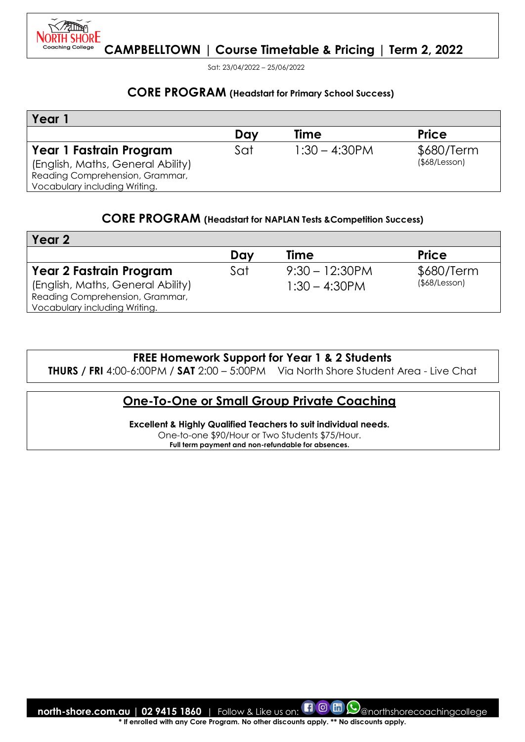

Sat: 23/04/2022 – 25/06/2022

#### **CORE PROGRAM (Headstart for Primary School Success)**

| Year                              |     |                  |                     |
|-----------------------------------|-----|------------------|---------------------|
|                                   | Dav | Time             | <b>Price</b>        |
| Year 1 Fastrain Program           | Sat | $1:30 - 4:30$ PM | \$680/Term          |
| (English, Maths, General Ability) |     |                  | $($ \$68/Lesson $)$ |
| Reading Comprehension, Grammar,   |     |                  |                     |
| Vocabulary including Writing.     |     |                  |                     |

#### **CORE PROGRAM (Headstart for NAPLAN Tests &Competition Success)**

| Year 2                            |     |                   |                     |
|-----------------------------------|-----|-------------------|---------------------|
|                                   | Day | Time              | <b>Price</b>        |
| <b>Year 2 Fastrain Program</b>    | Sat | $9:30 - 12:30$ PM | \$680/Term          |
| (English, Maths, General Ability) |     | $1:30 - 4:30$ PM  | $($ \$68/Lesson $)$ |
| Reading Comprehension, Grammar,   |     |                   |                     |
| Vocabulary including Writing.     |     |                   |                     |

#### **FREE Homework Support for Year 1 & 2 Students**

**THURS / FRI** 4:00-6:00PM / **SAT** 2:00 – 5:00PM Via North Shore Student Area - Live Chat

# **One-To-One or Small Group Private Coaching**

**Excellent & Highly Qualified Teachers to suit individual needs.**  One-to-one \$90/Hour or Two Students \$75/Hour. **Full term payment and non-refundable for absences.**

**north-shore.com.au | 02 9415 1860** | Follow & Like us on: **[1 0 th Collection of the shorecoachingcollege**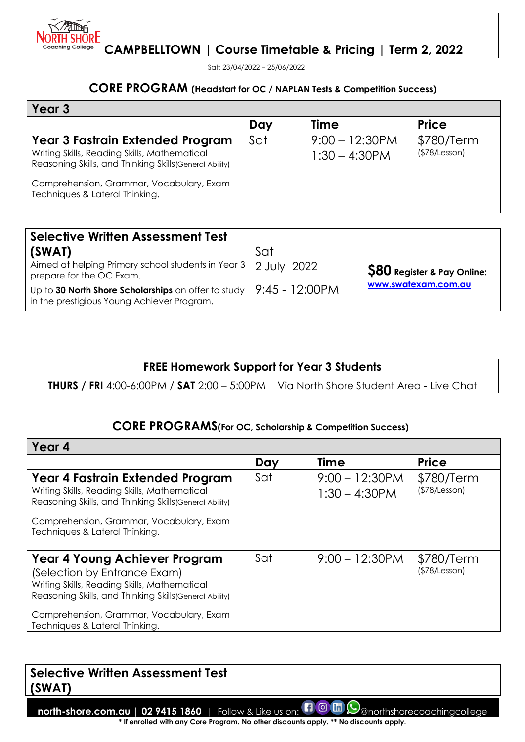

Sat: 23/04/2022 – 25/06/2022

#### **CORE PROGRAM (Headstart for OC / NAPLAN Tests & Competition Success)**

| Year <sub>3</sub>                                                                                                                           |                |                                       |                                    |
|---------------------------------------------------------------------------------------------------------------------------------------------|----------------|---------------------------------------|------------------------------------|
|                                                                                                                                             | Day            | Time                                  | <b>Price</b>                       |
| Year 3 Fastrain Extended Program<br>Writing Skills, Reading Skills, Mathematical<br>Reasoning Skills, and Thinking Skills (General Ability) | Sat            | $9:00 - 12:30$ PM<br>$1:30 - 4:30$ PM | \$780/Term<br>(\$78/Lesson)        |
| Comprehension, Grammar, Vocabulary, Exam<br>Techniques & Lateral Thinking.                                                                  |                |                                       |                                    |
|                                                                                                                                             |                |                                       |                                    |
| <b>Selective Written Assessment Test</b>                                                                                                    |                |                                       |                                    |
| (SWAT)                                                                                                                                      | Sat            |                                       |                                    |
| Aimed at helping Primary school students in Year 3<br>prepare for the OC Exam.                                                              | 2 July<br>2022 |                                       | ${\bf 580}$ Register & Pay Online: |

Up to **30 North Shore Scholarships** on offer to study 9:45 - 12:00PM in the prestigious Young Achiever Program.

**\$80 Register & Pay Online: [www.swatexam.com.au](http://www.swatexam.com.au/)**

# **FREE Homework Support for Year 3 Students**

**THURS / FRI** 4:00-6:00PM / **SAT** 2:00 – 5:00PM Via North Shore Student Area - Live Chat

#### **CORE PROGRAMS(For OC, Scholarship & Competition Success)**

| Year 4                                                                                                                                                                   |     |                                       |                             |
|--------------------------------------------------------------------------------------------------------------------------------------------------------------------------|-----|---------------------------------------|-----------------------------|
|                                                                                                                                                                          | Day | <b>Time</b>                           | <b>Price</b>                |
| Year 4 Fastrain Extended Program<br>Writing Skills, Reading Skills, Mathematical<br>Reasoning Skills, and Thinking Skills (General Ability)                              | Sat | $9:00 - 12:30$ PM<br>$1:30 - 4:30$ PM | \$780/Term<br>(\$78/Lesson) |
| Comprehension, Grammar, Vocabulary, Exam<br>Techniques & Lateral Thinking.                                                                                               |     |                                       |                             |
| Year 4 Young Achiever Program<br>(Selection by Entrance Exam)<br>Writing Skills, Reading Skills, Mathematical<br>Reasoning Skills, and Thinking Skills (General Ability) | Sat | $9:00 - 12:30$ PM                     | \$780/Term<br>(\$78/Lesson) |
| Comprehension, Grammar, Vocabulary, Exam<br>Techniques & Lateral Thinking.                                                                                               |     |                                       |                             |

# **Selective Written Assessment Test (SWAT)**

**north-shore.com.au | 02 9415 1860** | Follow & Like us on:  $\Box$  @  $\Box$  @northshorecoachingcollege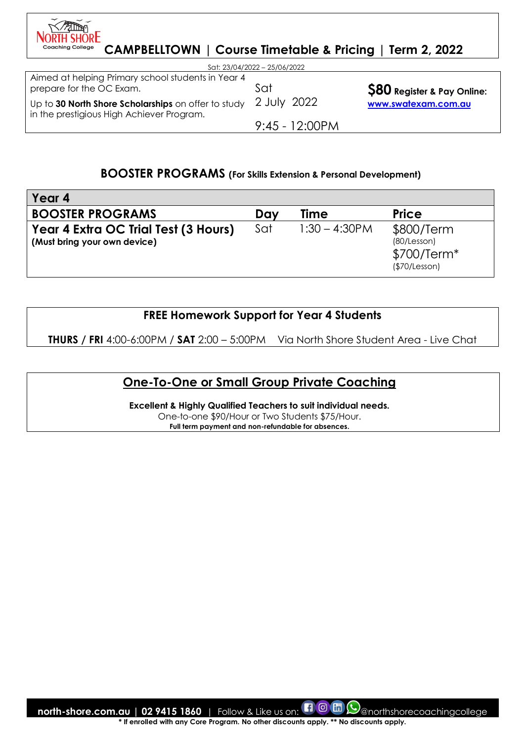| <b>JOBIH SHORE</b><br><b>Coaching College</b><br><b>CAMPBELLTOWN   Course Timetable &amp; Pricing</b> |                              | Term 2, 2022                      |
|-------------------------------------------------------------------------------------------------------|------------------------------|-----------------------------------|
|                                                                                                       | Sat: 23/04/2022 - 25/06/2022 |                                   |
| Aimed at helping Primary school students in Year 4<br>prepare for the OC Exam.                        | Sat                          | <b>S80</b> Register & Pay Online: |
| Up to 30 North Shore Scholarships on offer to study<br>in the prestigious High Achiever Program.      | 2 July 2022                  | www.swatexam.com.au               |
|                                                                                                       | $9:45 - 12:00PM$             |                                   |

 $\sqrt{2}$ 

## **BOOSTER PROGRAMS (For Skills Extension & Personal Development)**

| Year 4                                                               |     |                  |                                                           |
|----------------------------------------------------------------------|-----|------------------|-----------------------------------------------------------|
| <b>BOOSTER PROGRAMS</b>                                              | Day | <b>Time</b>      | <b>Price</b>                                              |
| Year 4 Extra OC Trial Test (3 Hours)<br>(Must bring your own device) | Sat | $1:30 - 4:30$ PM | \$800/Term<br>(80/Lesson)<br>\$700/Term*<br>(\$70/Lesson) |

# **FREE Homework Support for Year 4 Students**

**THURS / FRI** 4:00-6:00PM / **SAT** 2:00 – 5:00PM Via North Shore Student Area - Live Chat

# **One-To-One or Small Group Private Coaching**

**Excellent & Highly Qualified Teachers to suit individual needs.**  One-to-one \$90/Hour or Two Students \$75/Hour. **Full term payment and non-refundable for absences.**

**north-shore.com.au | 02 9415 1860** | Follow & Like us on: **COM** (O) anorthshorecoachingcollege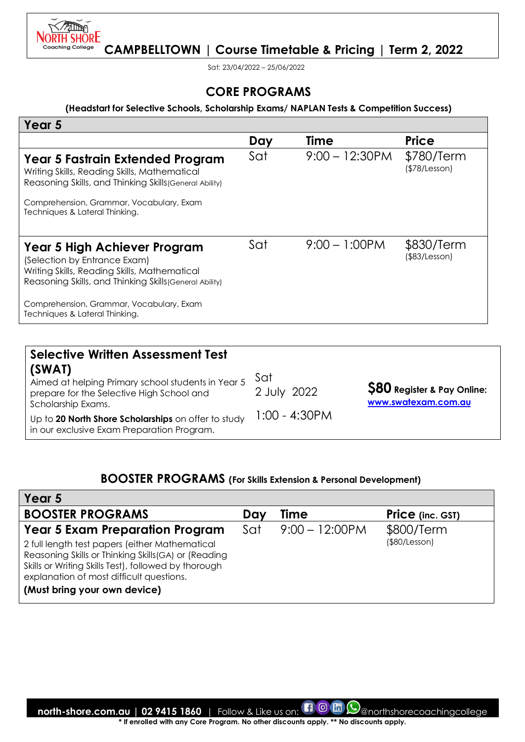

Sat: 23/04/2022 – 25/06/2022

## **CORE PROGRAMS**

#### **(Headstart for Selective Schools, Scholarship Exams/ NAPLAN Tests & Competition Success)**

| Year 5                                                                                                                                                                  |     |                   |                                   |
|-------------------------------------------------------------------------------------------------------------------------------------------------------------------------|-----|-------------------|-----------------------------------|
|                                                                                                                                                                         | Day | <b>Time</b>       | <b>Price</b>                      |
| Year 5 Fastrain Extended Program<br>Writing Skills, Reading Skills, Mathematical<br>Reasoning Skills, and Thinking Skills (General Ability)                             | Sat | $9:00 - 12:30$ PM | \$780/Term<br>(\$78/Lesson)       |
| Comprehension, Grammar, Vocabulary, Exam<br>Techniques & Lateral Thinking.                                                                                              |     |                   |                                   |
| Year 5 High Achiever Program<br>(Selection by Entrance Exam)<br>Writing Skills, Reading Skills, Mathematical<br>Reasoning Skills, and Thinking Skills (General Ability) | Sat | $9:00 - 1:00$ PM  | \$830/Term<br>$($ \$83/Lesson $)$ |
| Comprehension, Grammar, Vocabulary, Exam<br>Techniques & Lateral Thinking.                                                                                              |     |                   |                                   |

| <b>Selective Written Assessment Test</b><br>(SWAT)<br>Aimed at helping Primary school students in Year 5<br>prepare for the Selective High School and | Sat<br>2 July 2022 | <b>\$80 Register &amp; Pay Online:</b> |
|-------------------------------------------------------------------------------------------------------------------------------------------------------|--------------------|----------------------------------------|
| Scholarship Exams.<br>Up to 20 North Shore Scholarships on offer to study<br>in our exclusive Exam Preparation Program.                               | 1:00 - 4:30PM      | www.swatexam.com.au                    |

# **BOOSTER PROGRAMS (For Skills Extension & Personal Development)**

| Year 5                                                                                                                                                                                                                                     |     |                          |                         |
|--------------------------------------------------------------------------------------------------------------------------------------------------------------------------------------------------------------------------------------------|-----|--------------------------|-------------------------|
| <b>BOOSTER PROGRAMS</b>                                                                                                                                                                                                                    | Day | Time                     | <b>Price</b> (inc. GST) |
| <b>Year 5 Exam Preparation Program</b>                                                                                                                                                                                                     | Sat | $9:00 - 12:00 \text{PM}$ | \$800/Term              |
| 2 full length test papers (either Mathematical<br>Reasoning Skills or Thinking Skills (GA) or (Reading<br>Skills or Writing Skills Test), followed by thorough<br>explanation of most difficult questions.<br>(Must bring your own device) |     |                          | (\$80/Lesson)           |

**north-shore.com.au | 02 9415 1860** | Follow & Like us on: **COM** (O) anorthshorecoachingcollege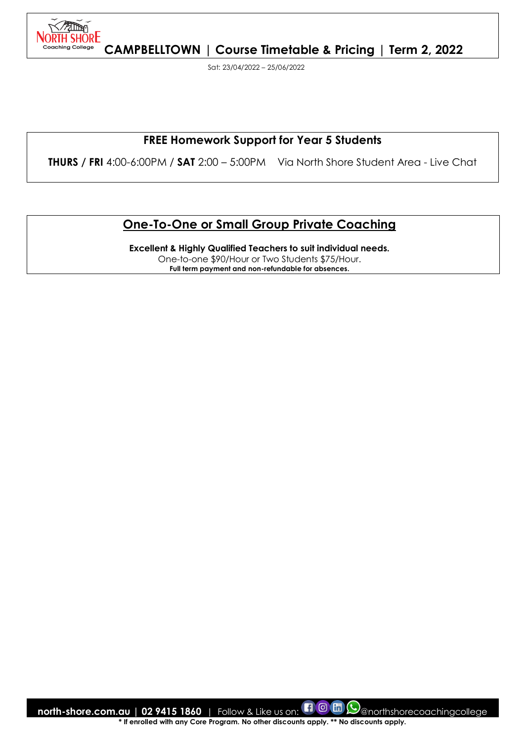

Sat: 23/04/2022 – 25/06/2022

# **FREE Homework Support for Year 5 Students**

**THURS / FRI** 4:00-6:00PM / **SAT** 2:00 – 5:00PM Via North Shore Student Area - Live Chat

# **One-To-One or Small Group Private Coaching**

**Excellent & Highly Qualified Teachers to suit individual needs.**  One-to-one \$90/Hour or Two Students \$75/Hour. **Full term payment and non-refundable for absences.**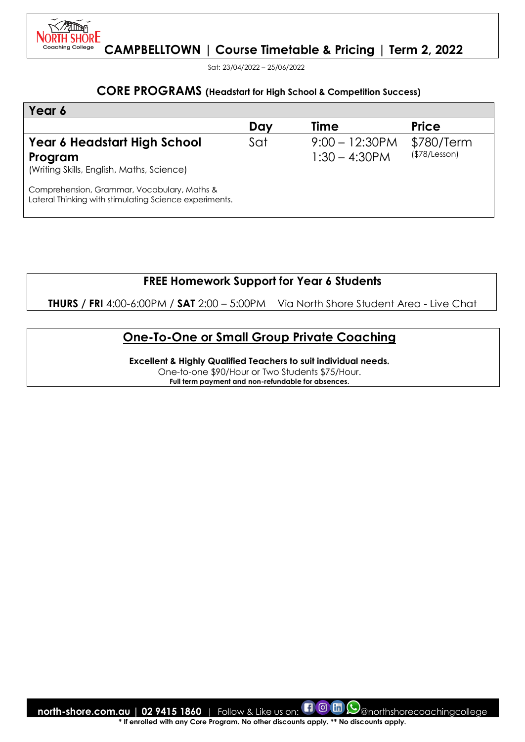

Sat: 23/04/2022 – 25/06/2022

#### **CORE PROGRAMS (Headstart for High School & Competition Success)**

| Year 6                                                                                                |     |                                      |                             |
|-------------------------------------------------------------------------------------------------------|-----|--------------------------------------|-----------------------------|
|                                                                                                       | Day | Time                                 | <b>Price</b>                |
| Year 6 Headstart High School<br>Program<br>(Writing Skills, English, Maths, Science)                  | Sat | $9:00 - 12:30PM$<br>$1:30 - 4:30$ PM | \$780/Term<br>(\$78/Lesson) |
| Comprehension, Grammar, Vocabulary, Maths &<br>Lateral Thinking with stimulating Science experiments. |     |                                      |                             |

**FREE Homework Support for Year 6 Students** 

**THURS / FRI** 4:00-6:00PM / **SAT** 2:00 – 5:00PM Via North Shore Student Area - Live Chat

# **One-To-One or Small Group Private Coaching**

**Excellent & Highly Qualified Teachers to suit individual needs.** 

One-to-one \$90/Hour or Two Students \$75/Hour.

**Full term payment and non-refundable for absences.**

**north-shore.com.au | 02 9415 1860** | Follow & Like us on: **[1 0 m**  $\odot$  morthshorecoachingcollege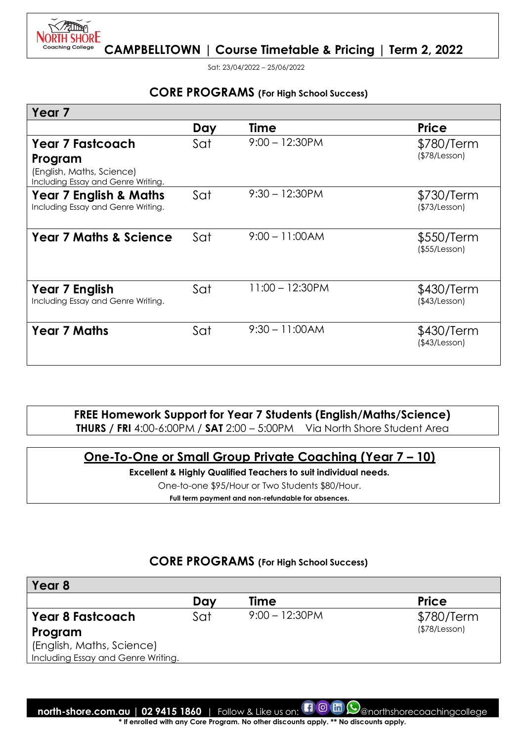

Sat: 23/04/2022 – 25/06/2022

#### **CORE PROGRAMS (For High School Success)**

| Year 7                                                                     |     |                    |                             |
|----------------------------------------------------------------------------|-----|--------------------|-----------------------------|
|                                                                            | Day | Time               | <b>Price</b>                |
| <b>Year 7 Fastcoach</b>                                                    | Sat | $9:00 - 12:30PM$   | \$780/Term                  |
| Program<br>(English, Maths, Science)<br>Including Essay and Genre Writing. |     |                    | (\$78/Lesson)               |
| <b>Year 7 English &amp; Maths</b><br>Including Essay and Genre Writing.    | Sat | $9:30 - 12:30$ PM  | \$730/Term<br>(\$73/Lesson) |
| <b>Year 7 Maths &amp; Science</b>                                          | Sat | $9:00 - 11:00AM$   | \$550/Term<br>(\$55/Lesson) |
| Year 7 English<br>Including Essay and Genre Writing.                       | Sat | $11:00 - 12:30$ PM | \$430/Term<br>(\$43/Lesson) |
| <b>Year 7 Maths</b>                                                        | Sat | $9:30 - 11:00AM$   | \$430/Term<br>(\$43/Lesson) |

**FREE Homework Support for Year 7 Students (English/Maths/Science) THURS / FRI** 4:00-6:00PM / **SAT** 2:00 – 5:00PM Via North Shore Student Area

# **One-To-One or Small Group Private Coaching (Year 7 – 10)**

**Excellent & Highly Qualified Teachers to suit individual needs.** 

One-to-one \$95/Hour or Two Students \$80/Hour.

**Full term payment and non-refundable for absences.**

# **CORE PROGRAMS (For High School Success)**

| Year 8                             |     |                  |              |
|------------------------------------|-----|------------------|--------------|
|                                    | Day | Time             | <b>Price</b> |
| <b>Year 8 Fastcoach</b>            | Sat | $9:00 - 12:30PM$ | \$780/Term   |
| Program                            |     |                  | (S78/Lesson) |
| (English, Maths, Science)          |     |                  |              |
| Including Essay and Genre Writing. |     |                  |              |

**north-shore.com.au | 02 9415 1860** | Follow & Like us on: **[1 0 m**  $\odot$  anorthshorecoachingcollege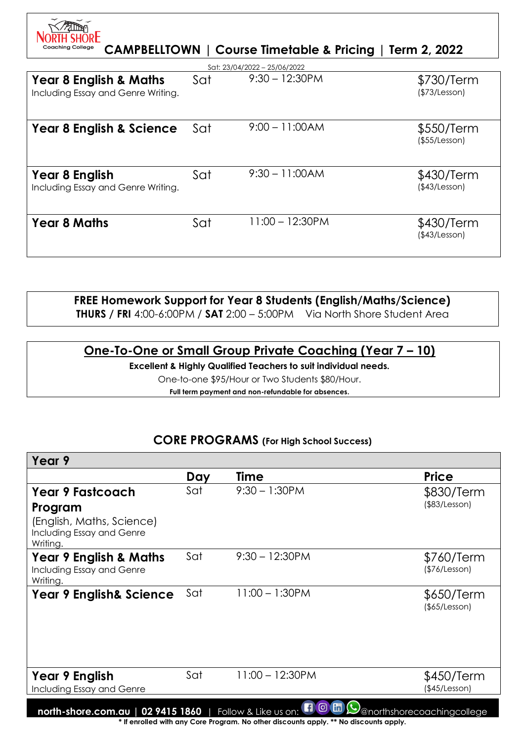| <b>Coaching College</b>                                                 |     | CAMPBELLTOWN   Course Timetable & Pricing   Term 2, 2022 |                             |
|-------------------------------------------------------------------------|-----|----------------------------------------------------------|-----------------------------|
|                                                                         |     | Sat: 23/04/2022 - 25/06/2022                             |                             |
| <b>Year 8 English &amp; Maths</b><br>Including Essay and Genre Writing. | Sat | $9:30 - 12:30$ PM                                        | \$730/Term<br>(\$73/Lesson) |
| <b>Year 8 English &amp; Science</b>                                     | Sat | $9:00 - 11:00AM$                                         | \$550/Term<br>(\$55/Lesson) |
| Year 8 English<br>Including Essay and Genre Writing.                    | Sat | $9:30 - 11:00AM$                                         | \$430/Term<br>(\$43/Lesson) |
| <b>Year 8 Maths</b>                                                     | Sat | $11:00 - 12:30$ PM                                       | \$430/Term<br>(\$43/Lesson) |

# **FREE Homework Support for Year 8 Students (English/Maths/Science)**

**THURS / FRI** 4:00-6:00PM / **SAT** 2:00 – 5:00PM Via North Shore Student Area

# **One-To-One or Small Group Private Coaching (Year 7 – 10)**

**Excellent & Highly Qualified Teachers to suit individual needs.** 

One-to-one \$95/Hour or Two Students \$80/Hour.

**Full term payment and non-refundable for absences.**

# **CORE PROGRAMS (For High School Success)**

| Year 9                                                                                                                                                                                           |     |                    |                                   |
|--------------------------------------------------------------------------------------------------------------------------------------------------------------------------------------------------|-----|--------------------|-----------------------------------|
|                                                                                                                                                                                                  | Day | Time               | <b>Price</b>                      |
| <b>Year 9 Fastcoach</b>                                                                                                                                                                          | Sat | $9:30 - 1:30$ PM   | \$830/Term<br>$($ \$83/Lesson $)$ |
| Program<br>(English, Maths, Science)<br>Including Essay and Genre<br>Writing.                                                                                                                    |     |                    |                                   |
| <b>Year 9 English &amp; Maths</b><br>Including Essay and Genre<br>Writing.                                                                                                                       | Sat | $9:30 - 12:30PM$   | \$760/Term<br>(\$76/Lesson)       |
| <b>Year 9 English&amp; Science</b>                                                                                                                                                               | Sat | $11:00 - 1:30$ PM  | \$650/Term<br>$($ \$65/Lesson $)$ |
| Year 9 English<br>Including Essay and Genre                                                                                                                                                      | Sat | $11:00 - 12:30$ PM | \$450/Term<br>(\$45/Lesson)       |
| 100m<br>02 9415 1860<br>Follow & Like us on:<br>@northshorecoachingcollege<br>north-shore.com.au<br>t if any alla divide only Care Dragones, Na ather disaacusts conty, ** Na disaacusts conty # |     |                    |                                   |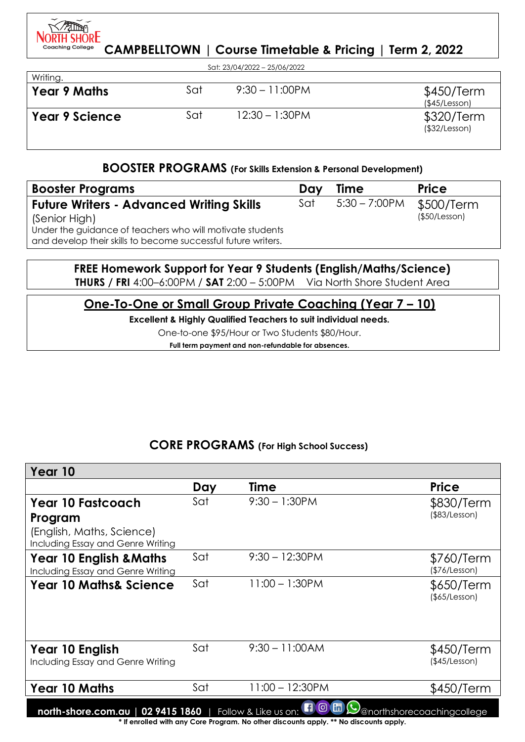

| Sat: 23/04/2022 - 25/06/2022 |     |                   |                             |  |
|------------------------------|-----|-------------------|-----------------------------|--|
| Writing.                     |     |                   |                             |  |
| <b>Year 9 Maths</b>          | Sat | $9:30 - 11:00$ PM | \$450/Term<br>(\$45/Lesson) |  |
| <b>Year 9 Science</b>        | Sat | $12:30 - 1:30$ PM | \$320/Term<br>(\$32/Lesson) |  |

#### **BOOSTER PROGRAMS (For Skills Extension & Personal Development)**

| <b>Booster Programs</b>                                                                                                    | Dav | <b>Time</b>      | <b>Price</b>  |
|----------------------------------------------------------------------------------------------------------------------------|-----|------------------|---------------|
| <b>Future Writers - Advanced Writing Skills</b>                                                                            | Sat | $5:30 - 7:00$ PM | \$500/Term    |
| (Senior High)                                                                                                              |     |                  | (\$50/Lesson) |
| Under the guidance of teachers who will motivate students<br>and develop their skills to become successful future writers. |     |                  |               |

## **FREE Homework Support for Year 9 Students (English/Maths/Science) THURS / FRI** 4:00–6:00PM / **SAT** 2:00 – 5:00PM Via North Shore Student Area

# **One-To-One or Small Group Private Coaching (Year 7 – 10)**

#### **Excellent & Highly Qualified Teachers to suit individual needs.**

One-to-one \$95/Hour or Two Students \$80/Hour.

**Full term payment and non-refundable for absences.**

# **CORE PROGRAMS (For High School Success)**

| Year 10                                                                                                                                                                                                       |     |                    |                             |
|---------------------------------------------------------------------------------------------------------------------------------------------------------------------------------------------------------------|-----|--------------------|-----------------------------|
|                                                                                                                                                                                                               | Day | Time               | <b>Price</b>                |
| <b>Year 10 Fastcoach</b>                                                                                                                                                                                      | Sat | $9:30 - 1:30$ PM   | \$830/Term                  |
| Program                                                                                                                                                                                                       |     |                    | (\$83/Lesson)               |
| (English, Maths, Science)<br>Including Essay and Genre Writing                                                                                                                                                |     |                    |                             |
| <b>Year 10 English &amp; Maths</b><br>Including Essay and Genre Writing                                                                                                                                       | Sat | $9:30 - 12:30$ PM  | \$760/Term<br>(\$76/Lesson) |
| <b>Year 10 Maths&amp; Science</b>                                                                                                                                                                             | Sat | $11:00 - 1:30$ PM  | \$650/Term<br>(\$5/Lesson)  |
|                                                                                                                                                                                                               |     |                    |                             |
| Year 10 English                                                                                                                                                                                               | Sat | $9:30 - 11:00AM$   | \$450/Term                  |
| Including Essay and Genre Writing                                                                                                                                                                             |     |                    | (\$45/Lesson)               |
| <b>Year 10 Maths</b>                                                                                                                                                                                          | Sat | $11:00 - 12:30$ PM | \$450/Term                  |
| $\blacksquare$ $\blacksquare$<br>north-shore.com.au   02 9415 1860   Follow & Like us on:<br>@northshorecoachingcollege<br>* If enrolled with any Core Program No other discounts apply ** No discounts apply |     |                    |                             |

e rrogram. No other alscounts apply. <sup>\*\*</sup> No alscounts **a**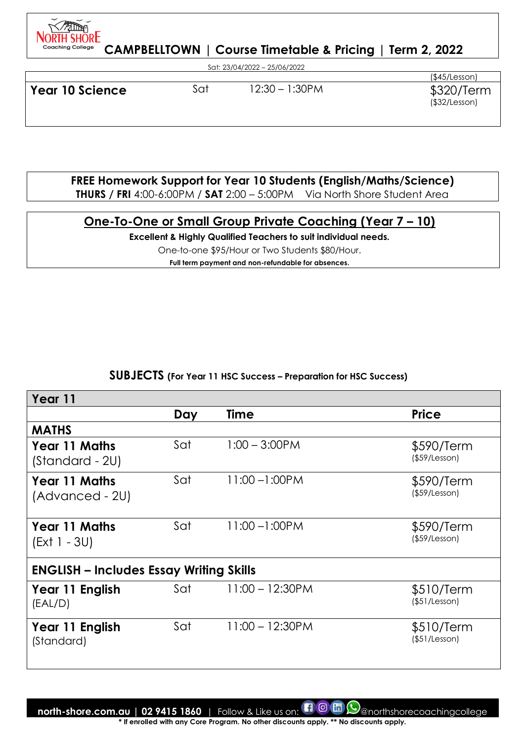

Sat: 23/04/2022 – 25/06/2022

**Year 10 Science Sat 12:30 – 1:30PM \$320/Term** 

(\$45/Lesson) (\$32/Lesson)

**FREE Homework Support for Year 10 Students (English/Maths/Science)** 

**THURS / FRI** 4:00-6:00PM / **SAT** 2:00 – 5:00PM Via North Shore Student Area

# **One-To-One or Small Group Private Coaching (Year 7 – 10)**

**Excellent & Highly Qualified Teachers to suit individual needs.** 

One-to-one \$95/Hour or Two Students \$80/Hour.

**Full term payment and non-refundable for absences.**

#### **SUBJECTS (For Year 11 HSC Success – Preparation for HSC Success)**

| Year 11                                        |     |                    |                                   |
|------------------------------------------------|-----|--------------------|-----------------------------------|
|                                                | Day | <b>Time</b>        | <b>Price</b>                      |
| <b>MATHS</b>                                   |     |                    |                                   |
| <b>Year 11 Maths</b><br>(Standard - 2U)        | Sat | $1:00 - 3:00$ PM   | \$590/Term<br>$($ \$59/Lesson $)$ |
| <b>Year 11 Maths</b><br>(Advanced - 2U)        | Sat | $11:00 - 1:00$ PM  | \$590/Term<br>$($ \$59/Lesson $)$ |
| <b>Year 11 Maths</b><br>(Ext 1 - 3U)           | Sat | $11:00 - 1:00$ PM  | \$590/Term<br>$($ \$59/Lesson $)$ |
| <b>ENGLISH - Includes Essay Writing Skills</b> |     |                    |                                   |
| Year 11 English<br>(EAL/D)                     | Sat | $11:00 - 12:30$ PM | \$510/Term<br>(\$51/Lesson)       |
| Year 11 English<br>(Standard)                  | Sat | $11:00 - 12:30$ PM | \$510/Term<br>(\$51/Lesson)       |

**north-shore.com.au | 02 9415 1860** | Follow & Like us on:  $\Box$  @ morthshorecoachingcollege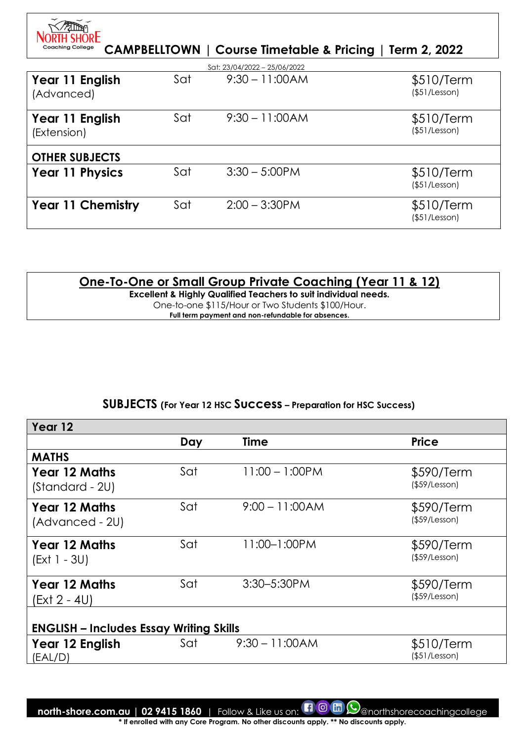| <b>Coaching College</b>        |     |                              | CAMPBELLTOWN   Course Timetable & Pricing   Term 2, 2022 |
|--------------------------------|-----|------------------------------|----------------------------------------------------------|
|                                |     | Sat: 23/04/2022 - 25/06/2022 |                                                          |
| Year 11 English<br>(Advanced)  | Sat | $9:30 - 11:00AM$             | \$510/Term<br>(\$51/Lesson)                              |
| Year 11 English<br>(Extension) | Sat | $9:30 - 11:00AM$             | \$510/Term<br>(\$51/Lesson)                              |
| <b>OTHER SUBJECTS</b>          |     |                              |                                                          |
| <b>Year 11 Physics</b>         | Sat | $3:30 - 5:00$ PM             | \$510/Term<br>(\$51/Lesson)                              |
| <b>Year 11 Chemistry</b>       | Sat | $2:00 - 3:30$ PM             | \$510/Term<br>(\$51/Lesson)                              |

# **One-To-One or Small Group Private Coaching (Year 11 & 12)**

**Excellent & Highly Qualified Teachers to suit individual needs.**  One-to-one \$115/Hour or Two Students \$100/Hour. **Full term payment and non-refundable for absences.**

# **SUBJECTS (For Year 12 HSC Success – Preparation for HSC Success)**

| Year 12                                        |     |                   |                                   |
|------------------------------------------------|-----|-------------------|-----------------------------------|
|                                                | Day | <b>Time</b>       | <b>Price</b>                      |
| <b>MATHS</b>                                   |     |                   |                                   |
| <b>Year 12 Maths</b><br>(Standard - 2U)        | Sat | $11:00 - 1:00$ PM | \$590/Term<br>$($ \$59/Lesson $)$ |
| <b>Year 12 Maths</b><br>(Advanced - 2U)        | Sat | $9:00 - 11:00AM$  | \$590/Term<br>$($ \$59/Lesson $)$ |
| <b>Year 12 Maths</b><br>$(Ext 1 - 3U)$         | Sat | 11:00-1:00PM      | \$590/Term<br>$($ \$59/Lesson $)$ |
| <b>Year 12 Maths</b><br>(Ext 2 - 4U)           | Sat | 3:30-5:30PM       | \$590/Term<br>$($ \$59/Lesson $)$ |
| <b>ENGLISH - Includes Essay Writing Skills</b> |     |                   |                                   |
| Year 12 English<br>(EAL/D)                     | Sat | $9:30 - 11:00AM$  | \$510/Term<br>(\$51/Lesson)       |
|                                                |     |                   |                                   |

**north-shore.com.au | 02 9415 1860** | Follow & Like us on:  $\blacksquare$  **@**  $\blacksquare$  **@** anorthshorecoachingcollege